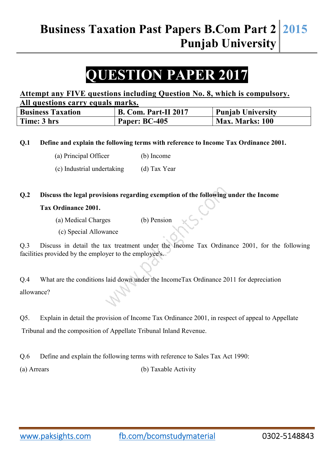## **Business Taxation Past Papers B.Com Part 2 Punjab University 2015**

# **QUESTION PAPER 2017**

## **Attempt any FIVE questions including Question No. 8, which is compulsory. All questions carry equals marks.**

| <b>Business Taxation</b> | B. Com. Part-II 2017 | <b>Punjab University</b> |
|--------------------------|----------------------|--------------------------|
| Time: 3 hrs              | Paper: BC-405        | <b>Max. Marks: 100</b>   |

- **Q.1 Define and explain the following terms with reference to Income Tax Ordinance 2001.** 
	- (a) Principal Officer (b) Income
	- (c) Industrial undertaking (d) Tax Year

### **Q.2 Discuss the legal provisions regarding exemption of the following under the Income**

#### **Tax Ordinance 2001.**

- (a) Medical Charges (b) Pension
- (c) Special Allowance

Q.3 Discuss in detail the tax treatment under the Income Tax Ordinance 2001, for the following facilities provided by the employer to the employee's.

Q.4 What are the conditions laid down under the IncomeTax Ordinance 2011 for depreciation allowance?

Q5. Explain in detail the provision of Income Tax Ordinance 2001, in respect of appeal to Appellate Tribunal and the composition of Appellate Tribunal Inland Revenue.

Q.6 Define and explain the following terms with reference to Sales Tax Act 1990:

(a) Arrears (b) Taxable Activity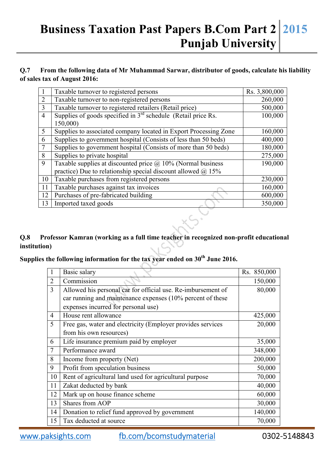## **Business Taxation Past Papers B.Com Part 2 Punjab University 2015**

#### **Q.7 From the following data of Mr Muhammad Sarwar, distributor of goods, calculate his liability of sales tax of August 2016:**

|                | Taxable turnover to registered persons                             | Rs. 3,800,000 |
|----------------|--------------------------------------------------------------------|---------------|
| 2              | Taxable turnover to non-registered persons                         | 260,000       |
| 3              | Taxable turnover to registered retailers (Retail price)            | 500,000       |
| $\overline{4}$ | Supplies of goods specified in $3rd$ schedule (Retail price Rs.    | 100,000       |
|                | 150,000)                                                           |               |
| 5 <sup>5</sup> | Supplies to associated company located in Export Processing Zone   | 160,000       |
| 6              | Supplies to government hospital (Consists of less than 50 beds)    | 400,000       |
| $\overline{7}$ | Supplies to government hospital (Consists of more than 50 beds)    | 180,000       |
| 8              | Supplies to private hospital                                       | 275,000       |
| 9              | Taxable supplies at discounted price $\omega$ 10% (Normal business | 190,000       |
|                | practice) Due to relationship special discount allowed $@$ 15%     |               |
| 10             | Taxable purchases from registered persons                          | 230,000       |
| 11             | Taxable purchases against tax invoices                             | 160,000       |
| 12             | Purchases of pre-fabricated building                               | 600,000       |
| 13             | Imported taxed goods                                               | 350,000       |

#### **Q.8 Professor Kamran (working as a full time teacher in recognized non-profit educational institution)**

 $x \in \mathcal{S}$ 

## **Supplies the following information for the tax year ended on 30th June 2016.**

|                | Basic salary                                                 | Rs. 850,000 |
|----------------|--------------------------------------------------------------|-------------|
| $\overline{2}$ | Commission                                                   | 150,000     |
| 3              | Allowed his personal car for official use. Re-imbursement of | 80,000      |
|                | car running and maintenance expenses (10% percent of these   |             |
|                | expenses incurred for personal use)                          |             |
| 4              | House rent allowance                                         | 425,000     |
| 5              | Free gas, water and electricity (Employer provides services  | 20,000      |
|                | from his own resources)                                      |             |
| 6              | Life insurance premium paid by employer                      | 35,000      |
| 7              | Performance award                                            | 348,000     |
| 8              | Income from property (Net)                                   | 200,000     |
| 9              | Profit from speculation business                             | 50,000      |
| 10             | Rent of agricultural land used for agricultural purpose      | 70,000      |
| 11             | Zakat deducted by bank                                       | 40,000      |
| 12             | Mark up on house finance scheme                              | 60,000      |
| 13             | Shares from AOP                                              | 30,000      |
| 14             | Donation to relief fund approved by government               | 140,000     |
| 15             | Tax deducted at source                                       | 70,000      |

www.paksights.com fb.com/bcomstudymaterial 0302-5148843